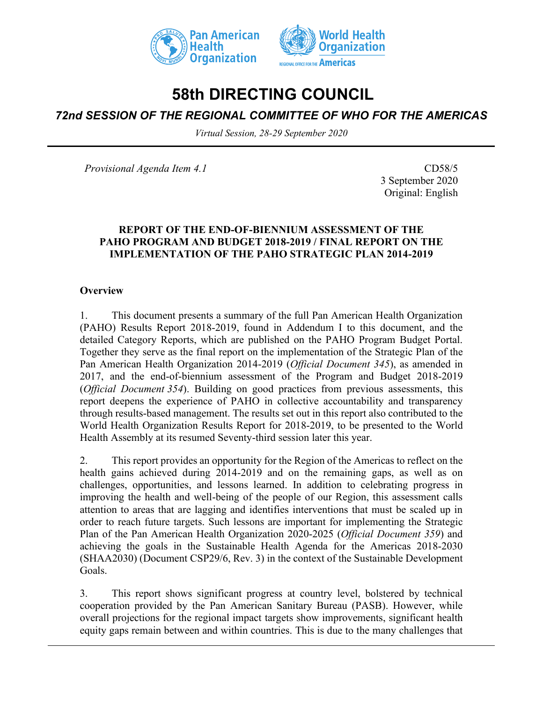



# **58th DIRECTING COUNCIL**

## *72nd SESSION OF THE REGIONAL COMMITTEE OF WHO FOR THE AMERICAS*

*Virtual Session, 28-29 September 2020*

*Provisional Agenda Item 4.1* CD58/5

3 September 2020 Original: English

#### **REPORT OF THE END-OF-BIENNIUM ASSESSMENT OF THE PAHO PROGRAM AND BUDGET 2018-2019 / FINAL REPORT ON THE IMPLEMENTATION OF THE PAHO STRATEGIC PLAN 2014-2019**

#### **Overview**

1. This document presents a summary of the full Pan American Health Organization (PAHO) Results Report 2018-2019, found in Addendum I to this document, and the detailed Category Reports, which are published on the PAHO Program Budget Portal. Together they serve as the final report on the implementation of the Strategic Plan of the Pan American Health Organization 2014-2019 (*Official Document 345*), as amended in 2017, and the end-of-biennium assessment of the Program and Budget 2018-2019 (*Official Document 354*). Building on good practices from previous assessments, this report deepens the experience of PAHO in collective accountability and transparency through results-based management. The results set out in this report also contributed to the World Health Organization Results Report for 2018-2019, to be presented to the World Health Assembly at its resumed Seventy-third session later this year.

2. This report provides an opportunity for the Region of the Americas to reflect on the health gains achieved during 2014-2019 and on the remaining gaps, as well as on challenges, opportunities, and lessons learned. In addition to celebrating progress in improving the health and well-being of the people of our Region, this assessment calls attention to areas that are lagging and identifies interventions that must be scaled up in order to reach future targets. Such lessons are important for implementing the Strategic Plan of the Pan American Health Organization 2020-2025 (*Official Document 359*) and achieving the goals in the Sustainable Health Agenda for the Americas 2018-2030 (SHAA2030) (Document CSP29/6, Rev. 3) in the context of the Sustainable Development Goals.

3. This report shows significant progress at country level, bolstered by technical cooperation provided by the Pan American Sanitary Bureau (PASB). However, while overall projections for the regional impact targets show improvements, significant health equity gaps remain between and within countries. This is due to the many challenges that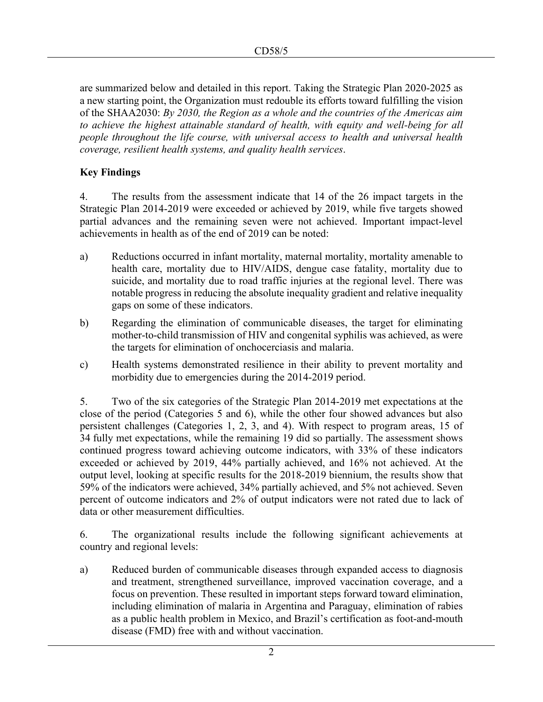are summarized below and detailed in this report. Taking the Strategic Plan 2020-2025 as a new starting point, the Organization must redouble its efforts toward fulfilling the vision of the SHAA2030: *By 2030, the Region as a whole and the countries of the Americas aim to achieve the highest attainable standard of health, with equity and well-being for all people throughout the life course, with universal access to health and universal health coverage, resilient health systems, and quality health services*.

## **Key Findings**

4. The results from the assessment indicate that 14 of the 26 impact targets in the Strategic Plan 2014-2019 were exceeded or achieved by 2019, while five targets showed partial advances and the remaining seven were not achieved. Important impact-level achievements in health as of the end of 2019 can be noted:

- a) Reductions occurred in infant mortality, maternal mortality, mortality amenable to health care, mortality due to HIV/AIDS, dengue case fatality, mortality due to suicide, and mortality due to road traffic injuries at the regional level. There was notable progress in reducing the absolute inequality gradient and relative inequality gaps on some of these indicators.
- b) Regarding the elimination of communicable diseases, the target for eliminating mother-to-child transmission of HIV and congenital syphilis was achieved, as were the targets for elimination of onchocerciasis and malaria.
- c) Health systems demonstrated resilience in their ability to prevent mortality and morbidity due to emergencies during the 2014-2019 period.

5. Two of the six categories of the Strategic Plan 2014-2019 met expectations at the close of the period (Categories 5 and 6), while the other four showed advances but also persistent challenges (Categories 1, 2, 3, and 4). With respect to program areas, 15 of 34 fully met expectations, while the remaining 19 did so partially. The assessment shows continued progress toward achieving outcome indicators, with 33% of these indicators exceeded or achieved by 2019, 44% partially achieved, and 16% not achieved. At the output level, looking at specific results for the 2018-2019 biennium, the results show that 59% of the indicators were achieved, 34% partially achieved, and 5% not achieved. Seven percent of outcome indicators and 2% of output indicators were not rated due to lack of data or other measurement difficulties.

6. The organizational results include the following significant achievements at country and regional levels:

a) Reduced burden of communicable diseases through expanded access to diagnosis and treatment, strengthened surveillance, improved vaccination coverage, and a focus on prevention. These resulted in important steps forward toward elimination, including elimination of malaria in Argentina and Paraguay, elimination of rabies as a public health problem in Mexico, and Brazil's certification as foot-and-mouth disease (FMD) free with and without vaccination.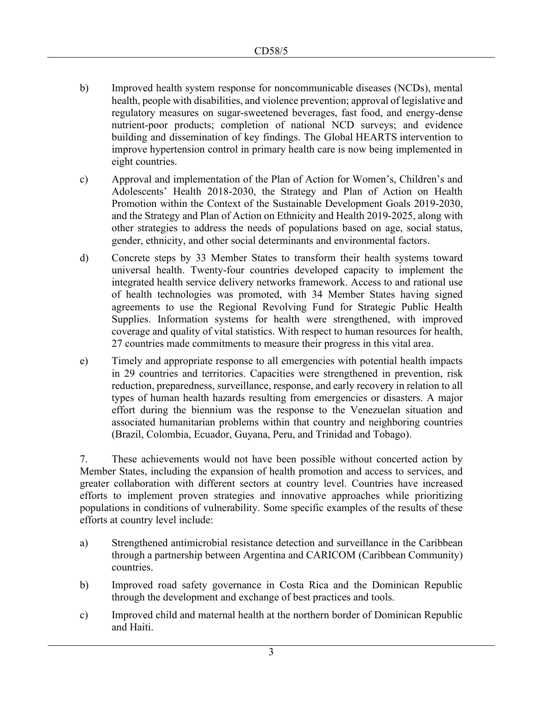- b) Improved health system response for noncommunicable diseases (NCDs), mental health, people with disabilities, and violence prevention; approval of legislative and regulatory measures on sugar-sweetened beverages, fast food, and energy-dense nutrient-poor products; completion of national NCD surveys; and evidence building and dissemination of key findings. The Global HEARTS intervention to improve hypertension control in primary health care is now being implemented in eight countries.
- c) Approval and implementation of the Plan of Action for Women's, Children's and Adolescents' Health 2018-2030, the Strategy and Plan of Action on Health Promotion within the Context of the Sustainable Development Goals 2019-2030, and the Strategy and Plan of Action on Ethnicity and Health 2019-2025, along with other strategies to address the needs of populations based on age, social status, gender, ethnicity, and other social determinants and environmental factors.
- d) Concrete steps by 33 Member States to transform their health systems toward universal health. Twenty-four countries developed capacity to implement the integrated health service delivery networks framework. Access to and rational use of health technologies was promoted, with 34 Member States having signed agreements to use the Regional Revolving Fund for Strategic Public Health Supplies. Information systems for health were strengthened, with improved coverage and quality of vital statistics. With respect to human resources for health, 27 countries made commitments to measure their progress in this vital area.
- e) Timely and appropriate response to all emergencies with potential health impacts in 29 countries and territories. Capacities were strengthened in prevention, risk reduction, preparedness, surveillance, response, and early recovery in relation to all types of human health hazards resulting from emergencies or disasters. A major effort during the biennium was the response to the Venezuelan situation and associated humanitarian problems within that country and neighboring countries (Brazil, Colombia, Ecuador, Guyana, Peru, and Trinidad and Tobago).

7. These achievements would not have been possible without concerted action by Member States, including the expansion of health promotion and access to services, and greater collaboration with different sectors at country level. Countries have increased efforts to implement proven strategies and innovative approaches while prioritizing populations in conditions of vulnerability. Some specific examples of the results of these efforts at country level include:

- a) Strengthened antimicrobial resistance detection and surveillance in the Caribbean through a partnership between Argentina and CARICOM (Caribbean Community) countries.
- b) Improved road safety governance in Costa Rica and the Dominican Republic through the development and exchange of best practices and tools.
- c) Improved child and maternal health at the northern border of Dominican Republic and Haiti.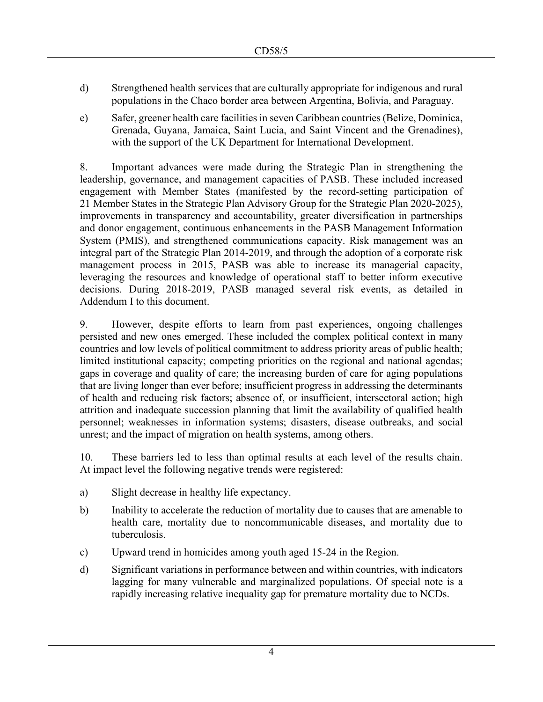- d) Strengthened health services that are culturally appropriate for indigenous and rural populations in the Chaco border area between Argentina, Bolivia, and Paraguay.
- e) Safer, greener health care facilities in seven Caribbean countries (Belize, Dominica, Grenada, Guyana, Jamaica, Saint Lucia, and Saint Vincent and the Grenadines), with the support of the UK Department for International Development.

8. Important advances were made during the Strategic Plan in strengthening the leadership, governance, and management capacities of PASB. These included increased engagement with Member States (manifested by the record-setting participation of 21 Member States in the Strategic Plan Advisory Group for the Strategic Plan 2020-2025), improvements in transparency and accountability, greater diversification in partnerships and donor engagement, continuous enhancements in the PASB Management Information System (PMIS), and strengthened communications capacity. Risk management was an integral part of the Strategic Plan 2014-2019, and through the adoption of a corporate risk management process in 2015, PASB was able to increase its managerial capacity, leveraging the resources and knowledge of operational staff to better inform executive decisions. During 2018-2019, PASB managed several risk events, as detailed in Addendum I to this document.

9. However, despite efforts to learn from past experiences, ongoing challenges persisted and new ones emerged. These included the complex political context in many countries and low levels of political commitment to address priority areas of public health; limited institutional capacity; competing priorities on the regional and national agendas; gaps in coverage and quality of care; the increasing burden of care for aging populations that are living longer than ever before; insufficient progress in addressing the determinants of health and reducing risk factors; absence of, or insufficient, intersectoral action; high attrition and inadequate succession planning that limit the availability of qualified health personnel; weaknesses in information systems; disasters, disease outbreaks, and social unrest; and the impact of migration on health systems, among others.

10. These barriers led to less than optimal results at each level of the results chain. At impact level the following negative trends were registered:

- a) Slight decrease in healthy life expectancy.
- b) Inability to accelerate the reduction of mortality due to causes that are amenable to health care, mortality due to noncommunicable diseases, and mortality due to tuberculosis.
- c) Upward trend in homicides among youth aged 15-24 in the Region.
- d) Significant variations in performance between and within countries, with indicators lagging for many vulnerable and marginalized populations. Of special note is a rapidly increasing relative inequality gap for premature mortality due to NCDs.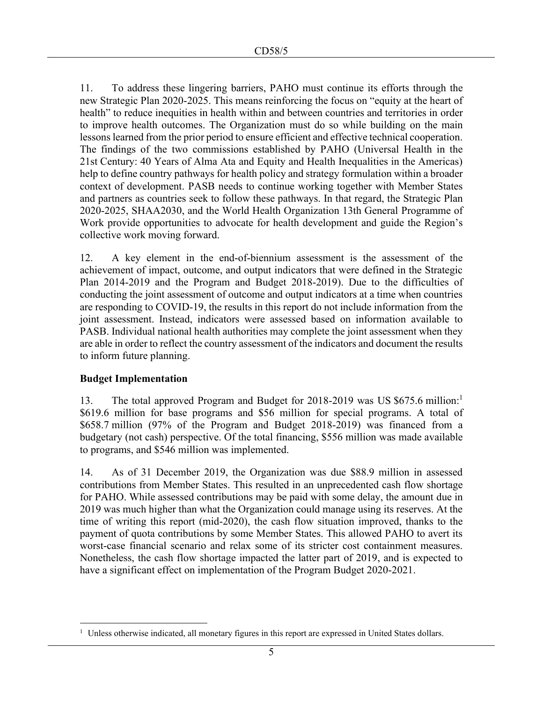11. To address these lingering barriers, PAHO must continue its efforts through the new Strategic Plan 2020-2025. This means reinforcing the focus on "equity at the heart of health" to reduce inequities in health within and between countries and territories in order to improve health outcomes. The Organization must do so while building on the main lessons learned from the prior period to ensure efficient and effective technical cooperation. The findings of the two commissions established by PAHO (Universal Health in the 21st Century: 40 Years of Alma Ata and Equity and Health Inequalities in the Americas) help to define country pathways for health policy and strategy formulation within a broader context of development. PASB needs to continue working together with Member States and partners as countries seek to follow these pathways. In that regard, the Strategic Plan 2020-2025, SHAA2030, and the World Health Organization 13th General Programme of Work provide opportunities to advocate for health development and guide the Region's collective work moving forward.

12. A key element in the end-of-biennium assessment is the assessment of the achievement of impact, outcome, and output indicators that were defined in the Strategic Plan 2014-2019 and the Program and Budget 2018-2019). Due to the difficulties of conducting the joint assessment of outcome and output indicators at a time when countries are responding to COVID-19, the results in this report do not include information from the joint assessment. Instead, indicators were assessed based on information available to PASB. Individual national health authorities may complete the joint assessment when they are able in order to reflect the country assessment of the indicators and document the results to inform future planning.

#### **Budget Implementation**

13. The total approved Program and Budget for 2018-2019 was US \$675.6 million:<sup>1</sup> \$619.6 million for base programs and \$56 million for special programs. A total of \$658.7 million (97% of the Program and Budget 2018-2019) was financed from a budgetary (not cash) perspective. Of the total financing, \$556 million was made available to programs, and \$546 million was implemented.

14. As of 31 December 2019, the Organization was due \$88.9 million in assessed contributions from Member States. This resulted in an unprecedented cash flow shortage for PAHO. While assessed contributions may be paid with some delay, the amount due in 2019 was much higher than what the Organization could manage using its reserves. At the time of writing this report (mid-2020), the cash flow situation improved, thanks to the payment of quota contributions by some Member States. This allowed PAHO to avert its worst-case financial scenario and relax some of its stricter cost containment measures. Nonetheless, the cash flow shortage impacted the latter part of 2019, and is expected to have a significant effect on implementation of the Program Budget 2020-2021.

<sup>&</sup>lt;sup>1</sup> Unless otherwise indicated, all monetary figures in this report are expressed in United States dollars.